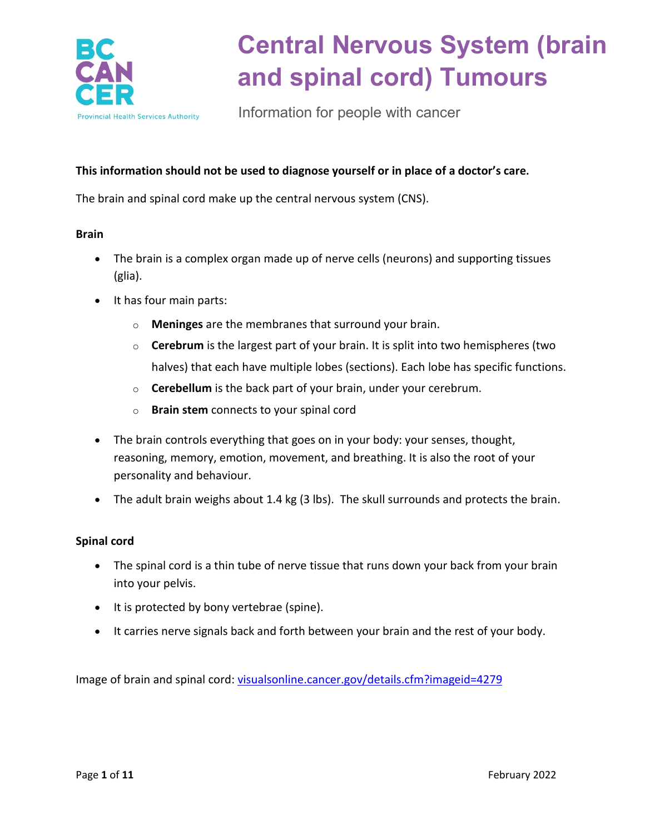

Information for people with cancer

#### **This information should not be used to diagnose yourself or in place of a doctor's care.**

The brain and spinal cord make up the central nervous system (CNS).

#### **Brain**

- The brain is a complex organ made up of nerve cells (neurons) and supporting tissues (glia).
- It has four main parts:
	- o **Meninges** are the membranes that surround your brain.
	- o **Cerebrum** is the largest part of your brain. It is split into two hemispheres (two halves) that each have multiple lobes (sections). Each lobe has specific functions.
	- o **Cerebellum** is the back part of your brain, under your cerebrum.
	- o **Brain stem** connects to your spinal cord
- The brain controls everything that goes on in your body: your senses, thought, reasoning, memory, emotion, movement, and breathing. It is also the root of your personality and behaviour.
- The adult brain weighs about 1.4 kg (3 lbs). The skull surrounds and protects the brain.

#### **Spinal cord**

- The spinal cord is a thin tube of nerve tissue that runs down your back from your brain into your pelvis.
- It is protected by bony vertebrae (spine).
- It carries nerve signals back and forth between your brain and the rest of your body.

Image of brain and spinal cord: visualsonline.cancer.gov/details.cfm?imageid=4279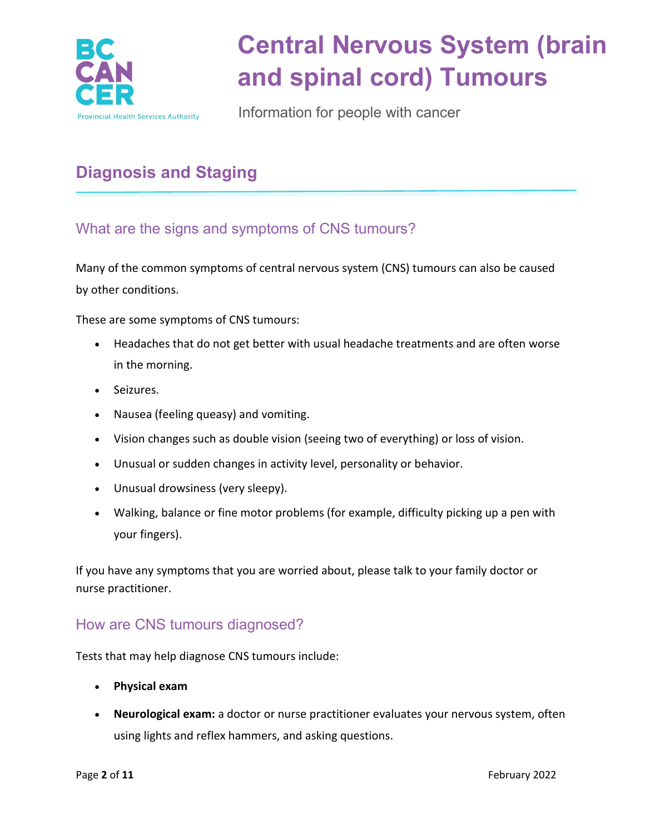

Information for people with cancer

## **Diagnosis and Staging**

What are the signs and symptoms of CNS tumours?

Many of the common symptoms of central nervous system (CNS) tumours can also be caused by other conditions.

These are some symptoms of CNS tumours:

- Headaches that do not get better with usual headache treatments and are often worse in the morning.
- Seizures.
- Nausea (feeling queasy) and vomiting.
- Vision changes such as double vision (seeing two of everything) or loss of vision.
- Unusual or sudden changes in activity level, personality or behavior.
- Unusual drowsiness (very sleepy).
- Walking, balance or fine motor problems (for example, difficulty picking up a pen with your fingers).

If you have any symptoms that you are worried about, please talk to your family doctor or nurse practitioner.

### How are CNS tumours diagnosed?

Tests that may help diagnose CNS tumours include:

- **Physical exam**
- **Neurological exam:** a doctor or nurse practitioner evaluates your nervous system, often using lights and reflex hammers, and asking questions.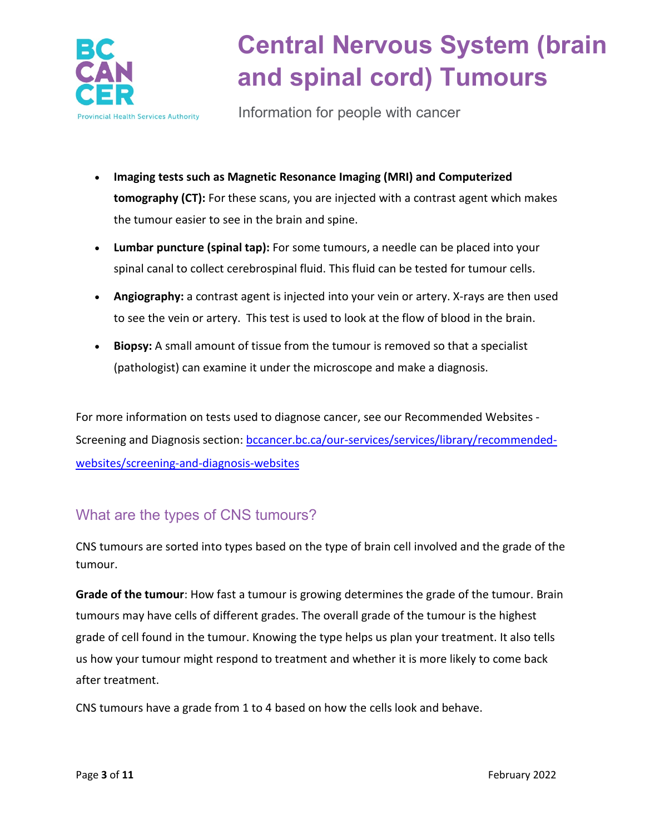

Information for people with cancer

- **Imaging tests such as Magnetic Resonance Imaging (MRI) and Computerized tomography (CT):** For these scans, you are injected with a contrast agent which makes the tumour easier to see in the brain and spine.
- **Lumbar puncture (spinal tap):** For some tumours, a needle can be placed into your spinal canal to collect cerebrospinal fluid. This fluid can be tested for tumour cells.
- **Angiography:** a contrast agent is injected into your vein or artery. X-rays are then used to see the vein or artery. This test is used to look at the flow of blood in the brain.
- **Biopsy:** A small amount of tissue from the tumour is removed so that a specialist (pathologist) can examine it under the microscope and make a diagnosis.

For more information on tests used to diagnose cancer, see our Recommended Websites Screening and Diagnosis section: [bccancer.bc.ca/our-services/services/library/recommended](http://www.bccancer.bc.ca/our-services/services/library/recommended-websites/screening-and-diagnosis-websites)[websites/screening-and-diagnosis-websites](http://www.bccancer.bc.ca/our-services/services/library/recommended-websites/screening-and-diagnosis-websites)

### What are the types of CNS tumours?

CNS tumours are sorted into types based on the type of brain cell involved and the grade of the tumour.

**Grade of the tumour**: How fast a tumour is growing determines the grade of the tumour. Brain tumours may have cells of different grades. The overall grade of the tumour is the highest grade of cell found in the tumour. Knowing the type helps us plan your treatment. It also tells us how your tumour might respond to treatment and whether it is more likely to come back after treatment.

CNS tumours have a grade from 1 to 4 based on how the cells look and behave.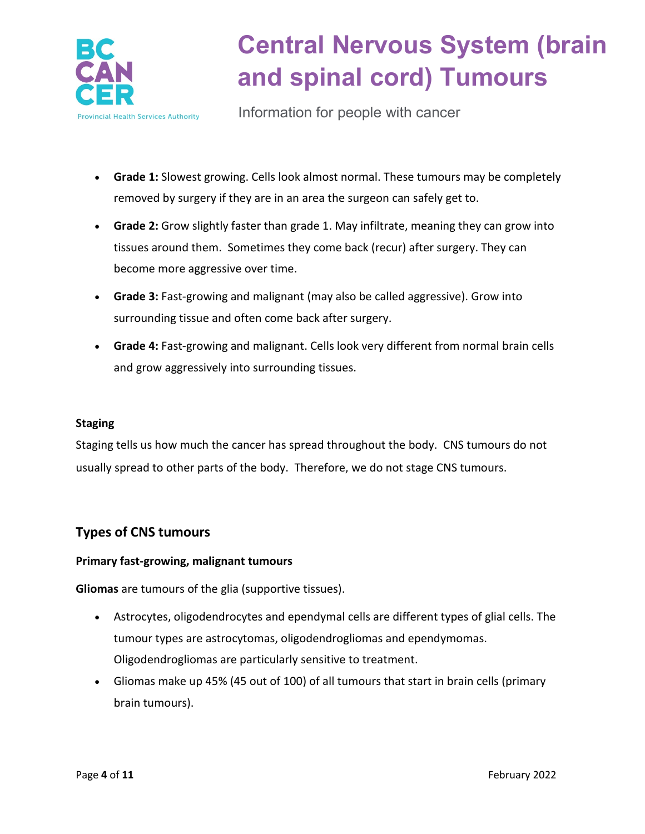

Information for people with cancer

- **Grade 1:** Slowest growing. Cells look almost normal. These tumours may be completely removed by surgery if they are in an area the surgeon can safely get to.
- **Grade 2:** Grow slightly faster than grade 1. May infiltrate, meaning they can grow into tissues around them. Sometimes they come back (recur) after surgery. They can become more aggressive over time.
- **Grade 3:** Fast-growing and malignant (may also be called aggressive). Grow into surrounding tissue and often come back after surgery.
- **Grade 4:** Fast-growing and malignant. Cells look very different from normal brain cells and grow aggressively into surrounding tissues.

#### **Staging**

Staging tells us how much the cancer has spread throughout the body. CNS tumours do not usually spread to other parts of the body. Therefore, we do not stage CNS tumours.

### **Types of CNS tumours**

#### **Primary fast-growing, malignant tumours**

**Gliomas** are tumours of the glia (supportive tissues).

- Astrocytes, oligodendrocytes and ependymal cells are different types of glial cells. The tumour types are astrocytomas, oligodendrogliomas and ependymomas. Oligodendrogliomas are particularly sensitive to treatment.
- Gliomas make up 45% (45 out of 100) of all tumours that start in brain cells (primary brain tumours).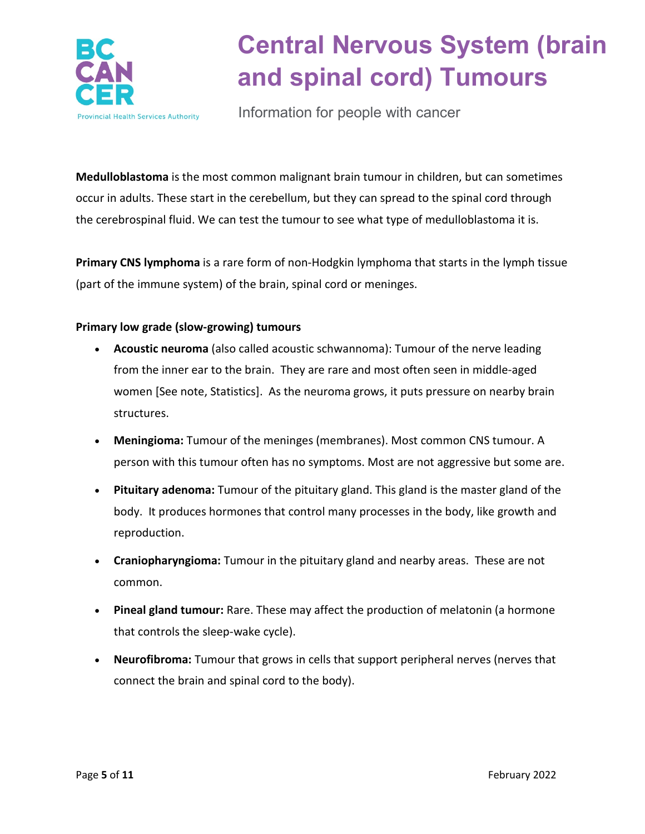

Information for people with cancer

**Medulloblastoma** is the most common malignant brain tumour in children, but can sometimes occur in adults. These start in the cerebellum, but they can spread to the spinal cord through the cerebrospinal fluid. We can test the tumour to see what type of medulloblastoma it is.

**Primary CNS lymphoma** is a rare form of non-Hodgkin lymphoma that starts in the lymph tissue (part of the immune system) of the brain, spinal cord or meninges.

#### **Primary low grade (slow-growing) tumours**

- **Acoustic neuroma** (also called acoustic schwannoma): Tumour of the nerve leading from the inner ear to the brain. They are rare and most often seen in middle-aged women [See note, Statistics]. As the neuroma grows, it puts pressure on nearby brain structures.
- **Meningioma:** Tumour of the meninges (membranes). Most common CNS tumour. A person with this tumour often has no symptoms. Most are not aggressive but some are.
- **Pituitary adenoma:** Tumour of the pituitary gland. This gland is the master gland of the body. It produces hormones that control many processes in the body, like growth and reproduction.
- **Craniopharyngioma:** Tumour in the pituitary gland and nearby areas. These are not common.
- **Pineal gland tumour:** Rare. These may affect the production of melatonin (a hormone that controls the sleep-wake cycle).
- **Neurofibroma:** Tumour that grows in cells that support peripheral nerves (nerves that connect the brain and spinal cord to the body).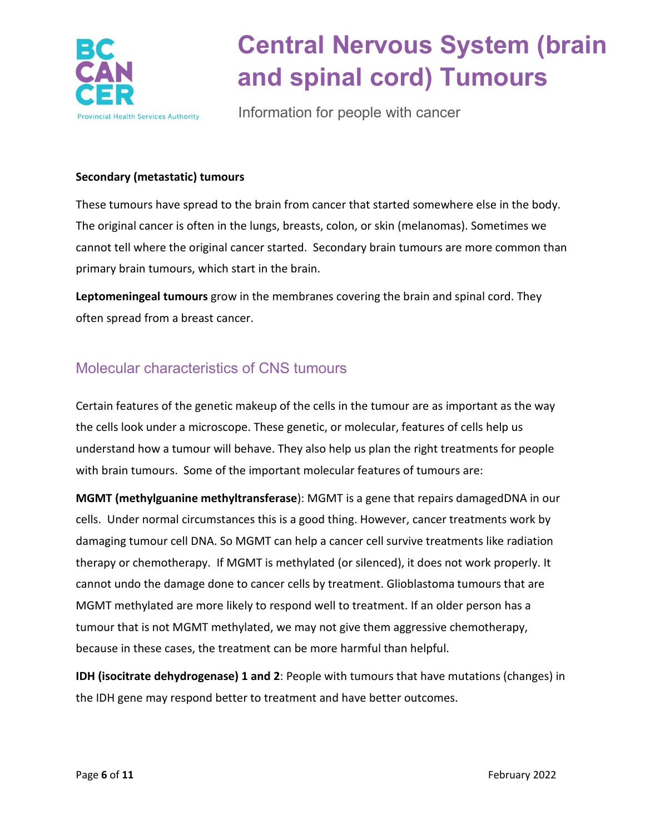

Information for people with cancer

#### **Secondary (metastatic) tumours**

These tumours have spread to the brain from cancer that started somewhere else in the body. The original cancer is often in the lungs, breasts, colon, or skin (melanomas). Sometimes we cannot tell where the original cancer started. Secondary brain tumours are more common than primary brain tumours, which start in the brain.

**Leptomeningeal tumours** grow in the membranes covering the brain and spinal cord. They often spread from a breast cancer.

### Molecular characteristics of CNS tumours

Certain features of the genetic makeup of the cells in the tumour are as important as the way the cells look under a microscope. These genetic, or molecular, features of cells help us understand how a tumour will behave. They also help us plan the right treatments for people with brain tumours. Some of the important molecular features of tumours are:

**MGMT (methylguanine methyltransferase**): MGMT is a gene that repairs damagedDNA in our cells. Under normal circumstances this is a good thing. However, cancer treatments work by damaging tumour cell DNA. So MGMT can help a cancer cell survive treatments like radiation therapy or chemotherapy. If MGMT is methylated (or silenced), it does not work properly. It cannot undo the damage done to cancer cells by treatment. Glioblastoma tumours that are MGMT methylated are more likely to respond well to treatment. If an older person has a tumour that is not MGMT methylated, we may not give them aggressive chemotherapy, because in these cases, the treatment can be more harmful than helpful.

**IDH (isocitrate dehydrogenase) 1 and 2**: People with tumours that have mutations (changes) in the IDH gene may respond better to treatment and have better outcomes.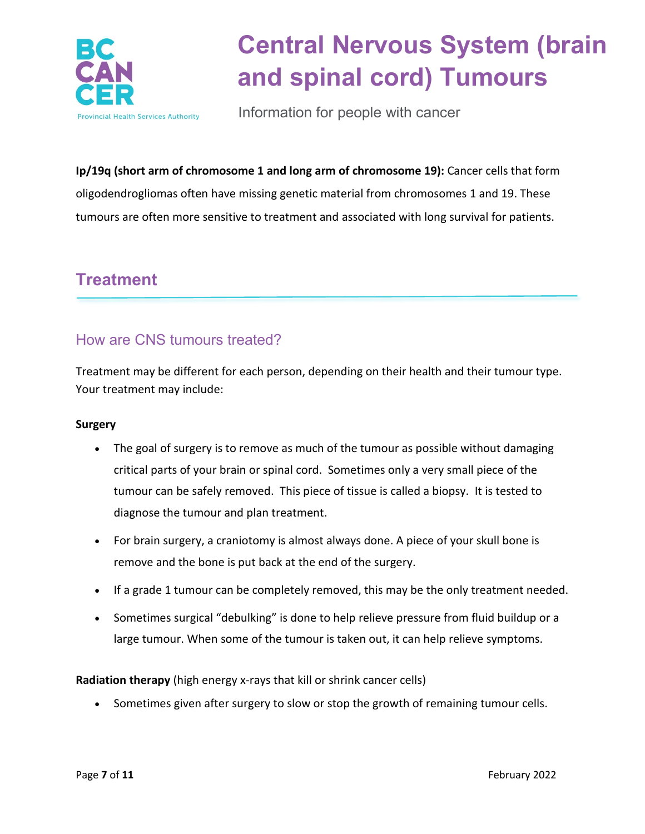

Information for people with cancer

**Ip/19q (short arm of chromosome 1 and long arm of chromosome 19):** Cancer cells that form oligodendrogliomas often have missing genetic material from chromosomes 1 and 19. These tumours are often more sensitive to treatment and associated with long survival for patients.

### **Treatment**

### How are CNS tumours treated?

Treatment may be different for each person, depending on their health and their tumour type. Your treatment may include:

#### **Surgery**

- The goal of surgery is to remove as much of the tumour as possible without damaging critical parts of your brain or spinal cord. Sometimes only a very small piece of the tumour can be safely removed. This piece of tissue is called a biopsy. It is tested to diagnose the tumour and plan treatment.
- For brain surgery, a craniotomy is almost always done. A piece of your skull bone is remove and the bone is put back at the end of the surgery.
- If a grade 1 tumour can be completely removed, this may be the only treatment needed.
- Sometimes surgical "debulking" is done to help relieve pressure from fluid buildup or a large tumour. When some of the tumour is taken out, it can help relieve symptoms.

**Radiation therapy** (high energy x-rays that kill or shrink cancer cells)

• Sometimes given after surgery to slow or stop the growth of remaining tumour cells.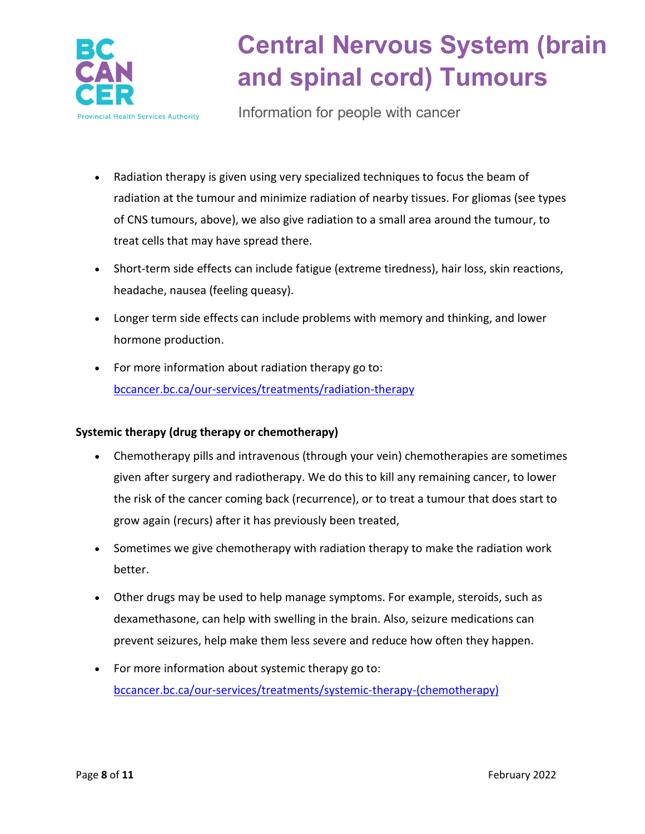

Information for people with cancer

- Radiation therapy is given using very specialized techniques to focus the beam of radiation at the tumour and minimize radiation of nearby tissues. For gliomas (see types of CNS tumours, above), we also give radiation to a small area around the tumour, to treat cells that may have spread there.
- Short-term side effects can include fatigue (extreme tiredness), hair loss, skin reactions, headache, nausea (feeling queasy).
- Longer term side effects can include problems with memory and thinking, and lower hormone production.
- For more information about radiation therapy go to: [bccancer.bc.ca/our-services/treatments/radiation-therapy](http://www.bccancer.bc.ca/our-services/treatments/radiation-therapy)

#### **Systemic therapy (drug therapy or chemotherapy)**

- Chemotherapy pills and intravenous (through your vein) chemotherapies are sometimes given after surgery and radiotherapy. We do this to kill any remaining cancer, to lower the risk of the cancer coming back (recurrence), or to treat a tumour that does start to grow again (recurs) after it has previously been treated,
- Sometimes we give chemotherapy with radiation therapy to make the radiation work better.
- Other drugs may be used to help manage symptoms. For example, steroids, such as dexamethasone, can help with swelling in the brain. Also, seizure medications can prevent seizures, help make them less severe and reduce how often they happen.
- For more information about systemic therapy go to: [bccancer.bc.ca/our-services/treatments/systemic-therapy-\(chemotherapy\)](http://www.bccancer.bc.ca/our-services/treatments/systemic-therapy-(chemotherapy))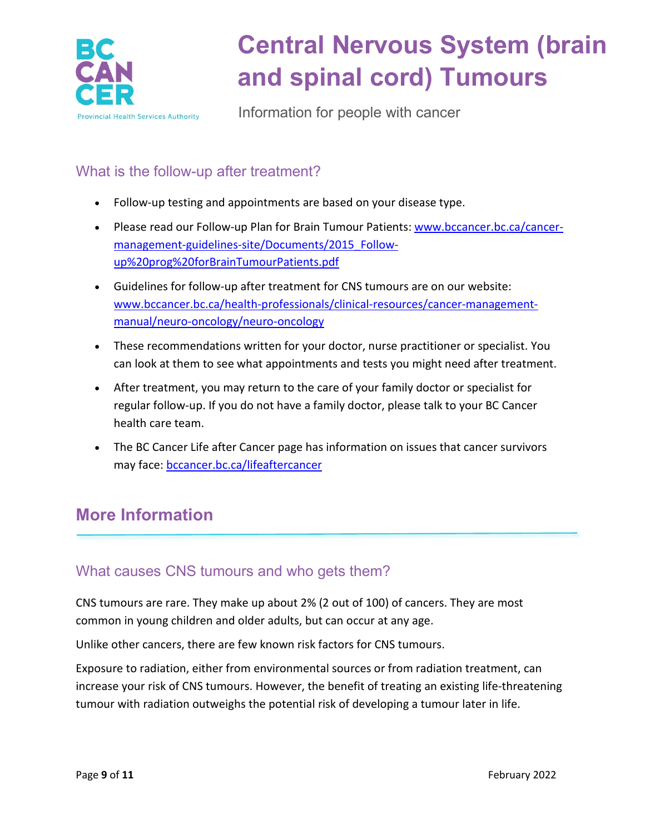

Information for people with cancer

### What is the follow-up after treatment?

- Follow-up testing and appointments are based on your disease type.
- Please read our Follow-up Plan for Brain Tumour Patients: [www.bccancer.bc.ca/cancer](http://www.bccancer.bc.ca/cancer-management-guidelines-site/Documents/2015_Follow-up%20prog%20forBrainTumourPatients.pdf)[management-guidelines-site/Documents/2015\\_Follow](http://www.bccancer.bc.ca/cancer-management-guidelines-site/Documents/2015_Follow-up%20prog%20forBrainTumourPatients.pdf)[up%20prog%20forBrainTumourPatients.pdf](http://www.bccancer.bc.ca/cancer-management-guidelines-site/Documents/2015_Follow-up%20prog%20forBrainTumourPatients.pdf)
- Guidelines for follow-up after treatment for CNS tumours are on our website: [www.bccancer.bc.ca/health-professionals/clinical-resources/cancer-management](http://www.bccancer.bc.ca/health-professionals/clinical-resources/cancer-management-manual/neuro-oncology/neuro-oncology)[manual/neuro-oncology/neuro-oncology](http://www.bccancer.bc.ca/health-professionals/clinical-resources/cancer-management-manual/neuro-oncology/neuro-oncology)
- These recommendations written for your doctor, nurse practitioner or specialist. You can look at them to see what appointments and tests you might need after treatment.
- After treatment, you may return to the care of your family doctor or specialist for regular follow-up. If you do not have a family doctor, please talk to your BC Cancer health care team.
- The BC Cancer Life after Cancer page has information on issues that cancer survivors may face: [bccancer.bc.ca/lifeaftercancer](http://www.bccancer.bc.ca/lifeaftercancer)

## **More Information**

### What causes CNS tumours and who gets them?

CNS tumours are rare. They make up about 2% (2 out of 100) of cancers. They are most common in young children and older adults, but can occur at any age.

Unlike other cancers, there are few known risk factors for CNS tumours.

Exposure to radiation, either from environmental sources or from radiation treatment, can increase your risk of CNS tumours. However, the benefit of treating an existing life-threatening tumour with radiation outweighs the potential risk of developing a tumour later in life.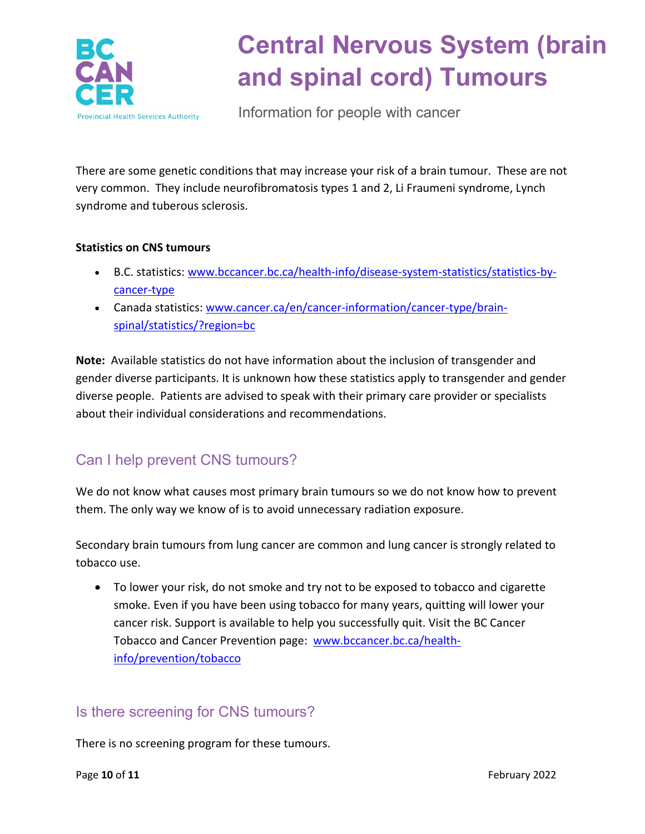

Information for people with cancer

There are some genetic conditions that may increase your risk of a brain tumour. These are not very common. They include neurofibromatosis types 1 and 2, Li Fraumeni syndrome, Lynch syndrome and tuberous sclerosis.

#### **Statistics on CNS tumours**

- B.C. statistics: [www.bccancer.bc.ca/health-info/disease-system-statistics/statistics-by](http://www.bccancer.bc.ca/health-info/disease-system-statistics/statistics-by-cancer-type)[cancer-type](http://www.bccancer.bc.ca/health-info/disease-system-statistics/statistics-by-cancer-type)
- Canada statistics: [www.cancer.ca/en/cancer-information/cancer-type/brain](https://www.cancer.ca/en/cancer-information/cancer-type/brain-spinal/statistics/?region=bc)[spinal/statistics/?region=bc](https://www.cancer.ca/en/cancer-information/cancer-type/brain-spinal/statistics/?region=bc)

**Note:** Available statistics do not have information about the inclusion of transgender and gender diverse participants. It is unknown how these statistics apply to transgender and gender diverse people. Patients are advised to speak with their primary care provider or specialists about their individual considerations and recommendations.

### Can I help prevent CNS tumours?

We do not know what causes most primary brain tumours so we do not know how to prevent them. The only way we know of is to avoid unnecessary radiation exposure.

Secondary brain tumours from lung cancer are common and lung cancer is strongly related to tobacco use.

• To lower your risk, do not smoke and try not to be exposed to tobacco and cigarette smoke. Even if you have been using tobacco for many years, quitting will lower your cancer risk. Support is available to help you successfully quit. Visit the BC Cancer Tobacco and Cancer Prevention page: [www.bccancer.bc.ca/health](http://www.bccancer.bc.ca/health-info/prevention/tobacco)[info/prevention/tobacco](http://www.bccancer.bc.ca/health-info/prevention/tobacco)

### Is there screening for CNS tumours?

There is no screening program for these tumours.